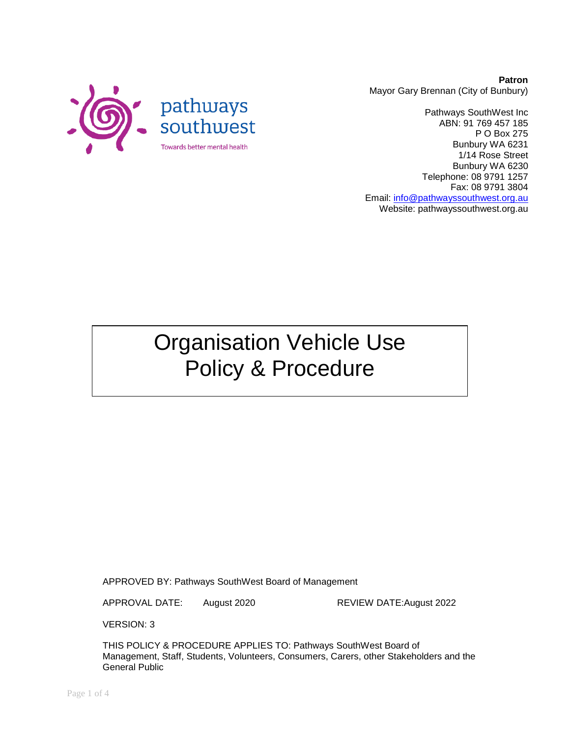

**Patron** Mayor Gary Brennan (City of Bunbury)

Pathways SouthWest Inc ABN: 91 769 457 185 P O Box 275 Bunbury WA 6231 1/14 Rose Street Bunbury WA 6230 Telephone: 08 9791 1257 Fax: 08 9791 3804 Email: [info@pathwayssouthwest.org.au](mailto:info@pathwayssouthwest.org.au) Website: pathwayssouthwest.org.au

# Organisation Vehicle Use Policy & Procedure

APPROVED BY: Pathways SouthWest Board of Management

APPROVAL DATE: August 2020 REVIEW DATE:August 2022

VERSION: 3

THIS POLICY & PROCEDURE APPLIES TO: Pathways SouthWest Board of Management, Staff, Students, Volunteers, Consumers, Carers, other Stakeholders and the General Public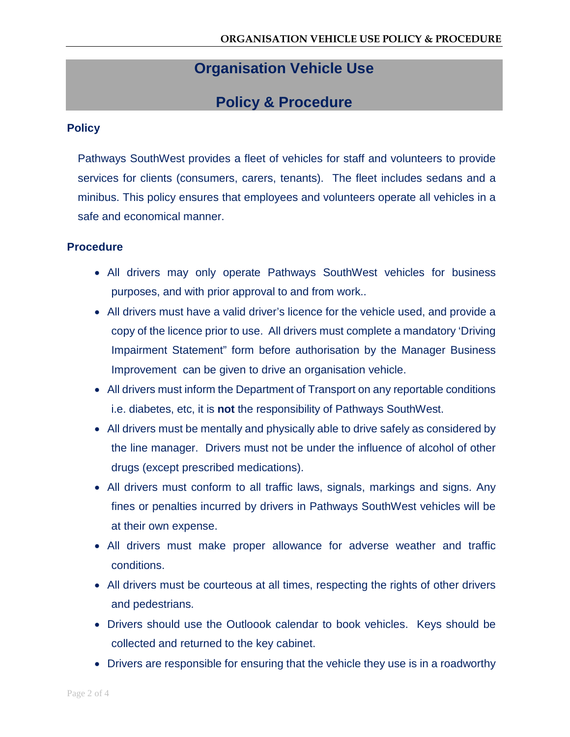## **Organisation Vehicle Use**

### **Policy & Procedure**

#### **Policy**

Pathways SouthWest provides a fleet of vehicles for staff and volunteers to provide services for clients (consumers, carers, tenants). The fleet includes sedans and a minibus. This policy ensures that employees and volunteers operate all vehicles in a safe and economical manner.

#### **Procedure**

- All drivers may only operate Pathways SouthWest vehicles for business purposes, and with prior approval to and from work..
- All drivers must have a valid driver's licence for the vehicle used, and provide a copy of the licence prior to use. All drivers must complete a mandatory 'Driving Impairment Statement" form before authorisation by the Manager Business Improvement can be given to drive an organisation vehicle.
- All drivers must inform the Department of Transport on any reportable conditions i.e. diabetes, etc, it is **not** the responsibility of Pathways SouthWest.
- All drivers must be mentally and physically able to drive safely as considered by the line manager. Drivers must not be under the influence of alcohol of other drugs (except prescribed medications).
- All drivers must conform to all traffic laws, signals, markings and signs. Any fines or penalties incurred by drivers in Pathways SouthWest vehicles will be at their own expense.
- All drivers must make proper allowance for adverse weather and traffic conditions.
- All drivers must be courteous at all times, respecting the rights of other drivers and pedestrians.
- Drivers should use the Outloook calendar to book vehicles. Keys should be collected and returned to the key cabinet.
- Drivers are responsible for ensuring that the vehicle they use is in a roadworthy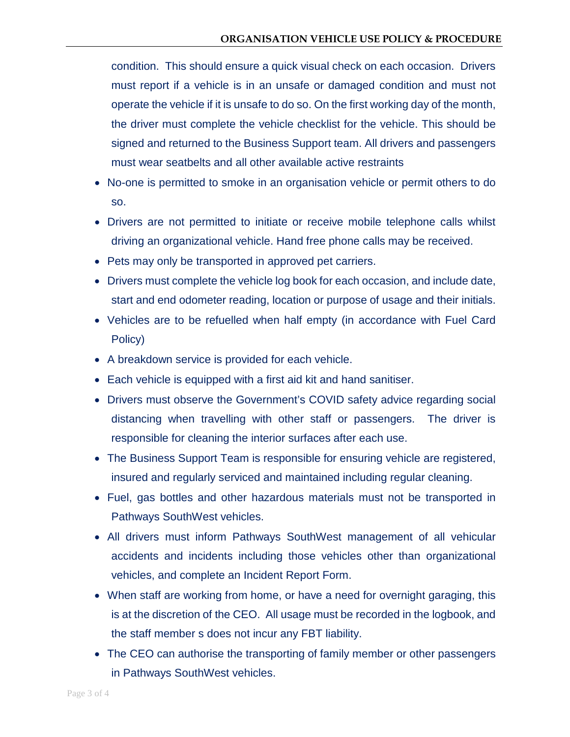condition. This should ensure a quick visual check on each occasion. Drivers must report if a vehicle is in an unsafe or damaged condition and must not operate the vehicle if it is unsafe to do so. On the first working day of the month, the driver must complete the vehicle checklist for the vehicle. This should be signed and returned to the Business Support team. All drivers and passengers must wear seatbelts and all other available active restraints

- No-one is permitted to smoke in an organisation vehicle or permit others to do so.
- Drivers are not permitted to initiate or receive mobile telephone calls whilst driving an organizational vehicle. Hand free phone calls may be received.
- Pets may only be transported in approved pet carriers.
- Drivers must complete the vehicle log book for each occasion, and include date, start and end odometer reading, location or purpose of usage and their initials.
- Vehicles are to be refuelled when half empty (in accordance with Fuel Card Policy)
- A breakdown service is provided for each vehicle.
- Each vehicle is equipped with a first aid kit and hand sanitiser.
- Drivers must observe the Government's COVID safety advice regarding social distancing when travelling with other staff or passengers. The driver is responsible for cleaning the interior surfaces after each use.
- The Business Support Team is responsible for ensuring vehicle are registered, insured and regularly serviced and maintained including regular cleaning.
- Fuel, gas bottles and other hazardous materials must not be transported in Pathways SouthWest vehicles.
- All drivers must inform Pathways SouthWest management of all vehicular accidents and incidents including those vehicles other than organizational vehicles, and complete an Incident Report Form.
- When staff are working from home, or have a need for overnight garaging, this is at the discretion of the CEO. All usage must be recorded in the logbook, and the staff member s does not incur any FBT liability.
- The CEO can authorise the transporting of family member or other passengers in Pathways SouthWest vehicles.